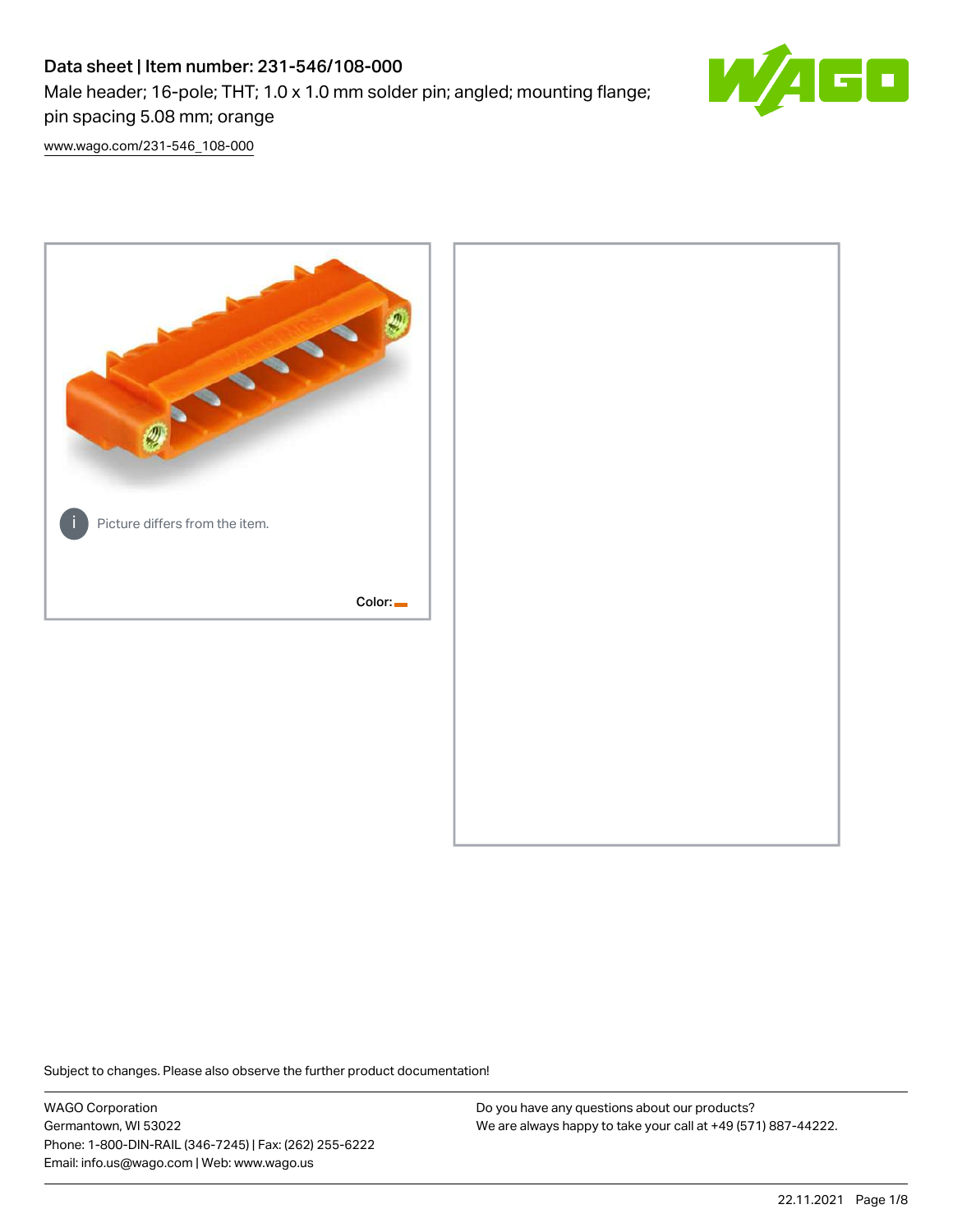# Data sheet | Item number: 231-546/108-000 Male header; 16-pole; THT; 1.0 x 1.0 mm solder pin; angled; mounting flange; pin spacing 5.08 mm; orange



[www.wago.com/231-546\\_108-000](http://www.wago.com/231-546_108-000)



Subject to changes. Please also observe the further product documentation!

WAGO Corporation Germantown, WI 53022 Phone: 1-800-DIN-RAIL (346-7245) | Fax: (262) 255-6222 Email: info.us@wago.com | Web: www.wago.us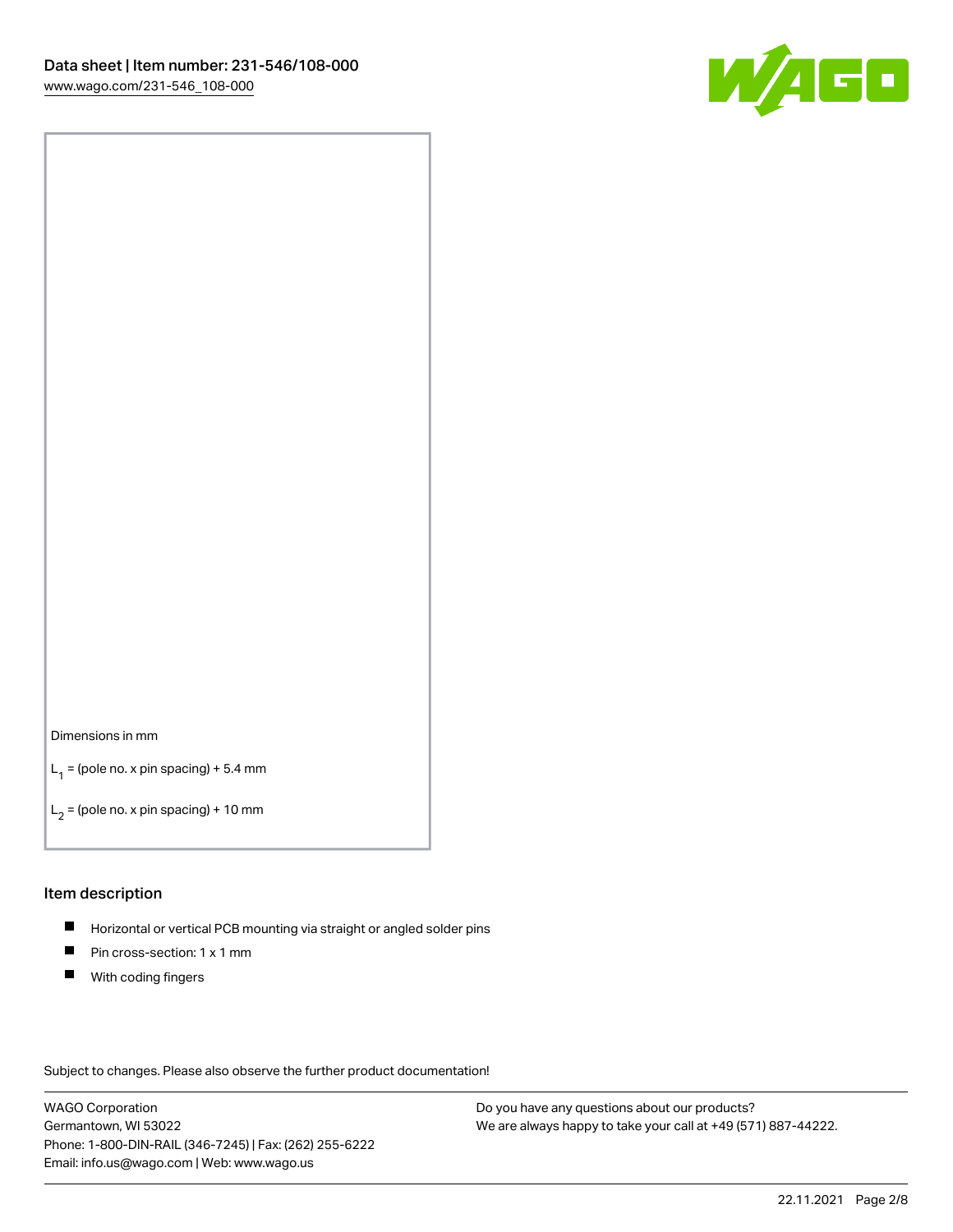

#### Dimensions in mm

 $L_1$  = (pole no. x pin spacing) + 5.4 mm

 $L_2$  = (pole no. x pin spacing) + 10 mm

## Item description

- $\blacksquare$ Horizontal or vertical PCB mounting via straight or angled solder pins
- $\blacksquare$ Pin cross-section: 1 x 1 mm
- $\blacksquare$ With coding fingers

Subject to changes. Please also observe the further product documentation!

WAGO Corporation Germantown, WI 53022 Phone: 1-800-DIN-RAIL (346-7245) | Fax: (262) 255-6222 Email: info.us@wago.com | Web: www.wago.us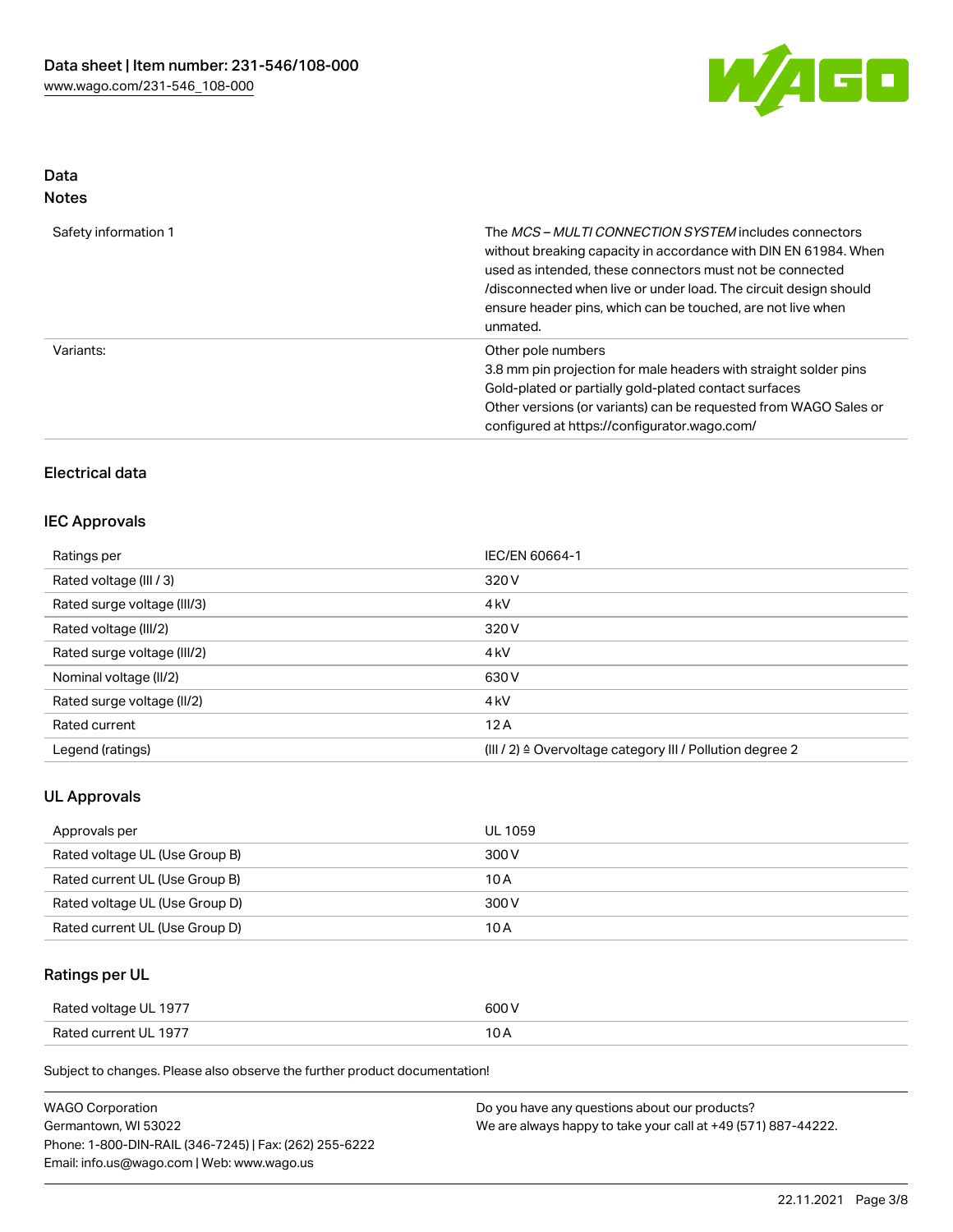

# Data Notes

| Safety information 1 | The MCS-MULTI CONNECTION SYSTEM includes connectors<br>without breaking capacity in accordance with DIN EN 61984. When<br>used as intended, these connectors must not be connected<br>/disconnected when live or under load. The circuit design should<br>ensure header pins, which can be touched, are not live when<br>unmated. |
|----------------------|-----------------------------------------------------------------------------------------------------------------------------------------------------------------------------------------------------------------------------------------------------------------------------------------------------------------------------------|
| Variants:            | Other pole numbers<br>3.8 mm pin projection for male headers with straight solder pins<br>Gold-plated or partially gold-plated contact surfaces<br>Other versions (or variants) can be requested from WAGO Sales or<br>configured at https://configurator.wago.com/                                                               |

# Electrical data

# IEC Approvals

| Ratings per                 | IEC/EN 60664-1                                            |
|-----------------------------|-----------------------------------------------------------|
| Rated voltage (III / 3)     | 320 V                                                     |
| Rated surge voltage (III/3) | 4 <sub>kV</sub>                                           |
| Rated voltage (III/2)       | 320 V                                                     |
| Rated surge voltage (III/2) | 4 <sub>kV</sub>                                           |
| Nominal voltage (II/2)      | 630 V                                                     |
| Rated surge voltage (II/2)  | 4 <sub>k</sub> V                                          |
| Rated current               | 12A                                                       |
| Legend (ratings)            | (III / 2) ≙ Overvoltage category III / Pollution degree 2 |

# UL Approvals

| Approvals per                  | UL 1059 |
|--------------------------------|---------|
| Rated voltage UL (Use Group B) | 300 V   |
| Rated current UL (Use Group B) | 10 A    |
| Rated voltage UL (Use Group D) | 300 V   |
| Rated current UL (Use Group D) | 10 A    |

# Ratings per UL

| Rated voltage UL 1977 | 600 V |
|-----------------------|-------|
| Rated current UL 1977 |       |

Subject to changes. Please also observe the further product documentation!

| WAGO Corporation                                       | Do you have any questions about our products?                 |
|--------------------------------------------------------|---------------------------------------------------------------|
| Germantown. WI 53022                                   | We are always happy to take your call at +49 (571) 887-44222. |
| Phone: 1-800-DIN-RAIL (346-7245)   Fax: (262) 255-6222 |                                                               |
| Email: info.us@wago.com   Web: www.wago.us             |                                                               |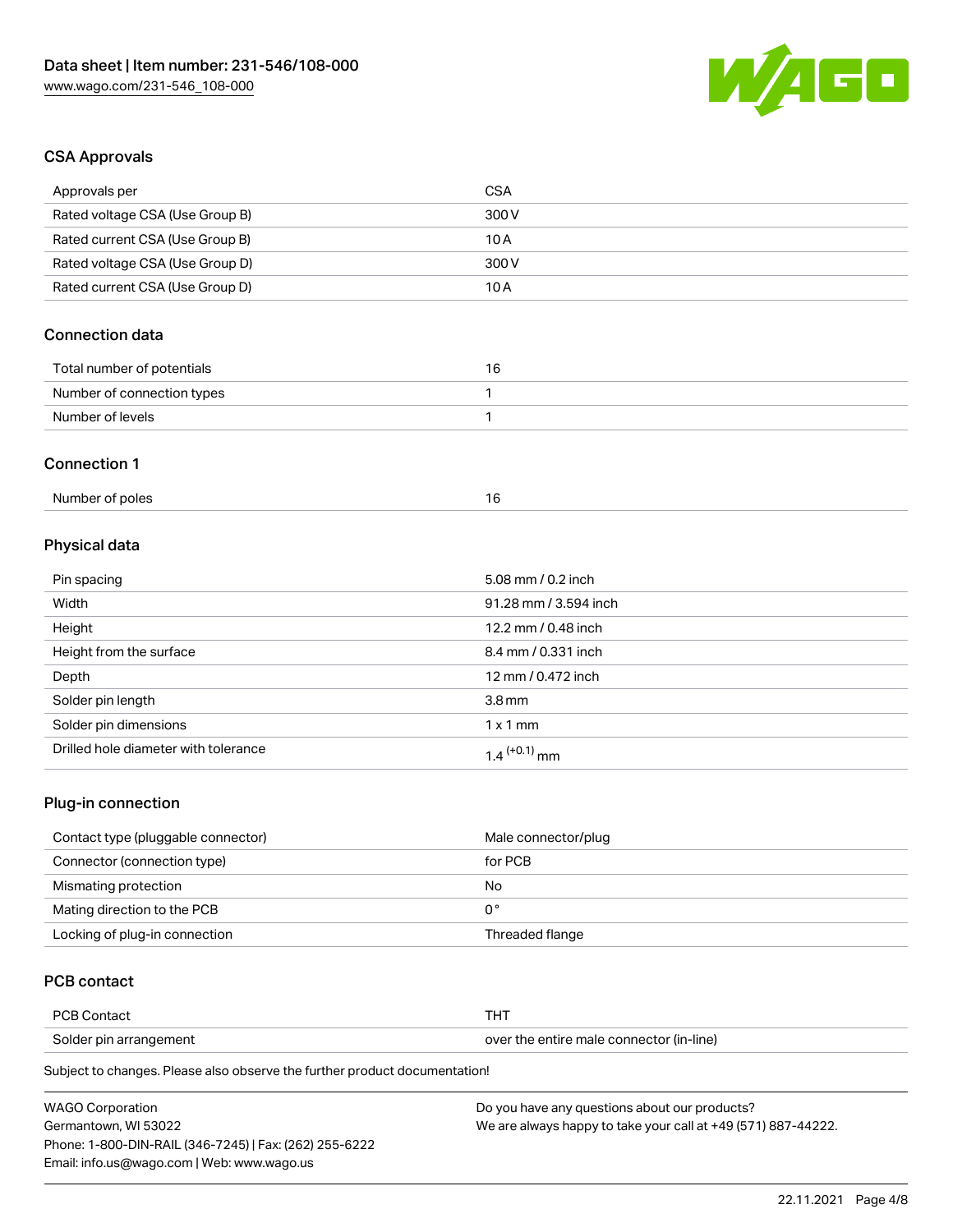

# CSA Approvals

| Approvals per                   | <b>CSA</b>            |  |
|---------------------------------|-----------------------|--|
| Rated voltage CSA (Use Group B) | 300 V                 |  |
| Rated current CSA (Use Group B) | 10A                   |  |
| Rated voltage CSA (Use Group D) | 300 V                 |  |
| Rated current CSA (Use Group D) | 10A                   |  |
| <b>Connection data</b>          |                       |  |
| Total number of potentials      | 16                    |  |
| Number of connection types      | $\mathbf{1}$          |  |
| Number of levels                | $\mathbf{1}$          |  |
| <b>Connection 1</b>             |                       |  |
| Number of poles                 | 16                    |  |
| Physical data                   |                       |  |
| Pin spacing                     | 5.08 mm / 0.2 inch    |  |
| Width                           | 91.28 mm / 3.594 inch |  |
| Height                          | 12.2 mm / 0.48 inch   |  |
| Height from the surface         | 8.4 mm / 0.331 inch   |  |
| Depth                           | 12 mm / 0.472 inch    |  |
| Solder pin length               | 3.8 <sub>mm</sub>     |  |
| Solder pin dimensions           | $1 \times 1$ mm       |  |

# Plug-in connection

| Contact type (pluggable connector) | Male connector/plug |
|------------------------------------|---------------------|
| Connector (connection type)        | for PCB             |
| Mismating protection               | No                  |
| Mating direction to the PCB        | 0°                  |
| Locking of plug-in connection      | Threaded flange     |

# PCB contact

| PCB Contact            | THT                                      |
|------------------------|------------------------------------------|
| Solder pin arrangement | over the entire male connector (in-line) |

Subject to changes. Please also observe the further product documentation!

Drilled hole diameter with tolerance  $1.4$   $(+0.1)$  mm

| <b>WAGO Corporation</b>                                | Do you have any questions about our products?                 |  |
|--------------------------------------------------------|---------------------------------------------------------------|--|
| Germantown, WI 53022                                   | We are always happy to take your call at +49 (571) 887-44222. |  |
| Phone: 1-800-DIN-RAIL (346-7245)   Fax: (262) 255-6222 |                                                               |  |
| Email: info.us@wago.com   Web: www.wago.us             |                                                               |  |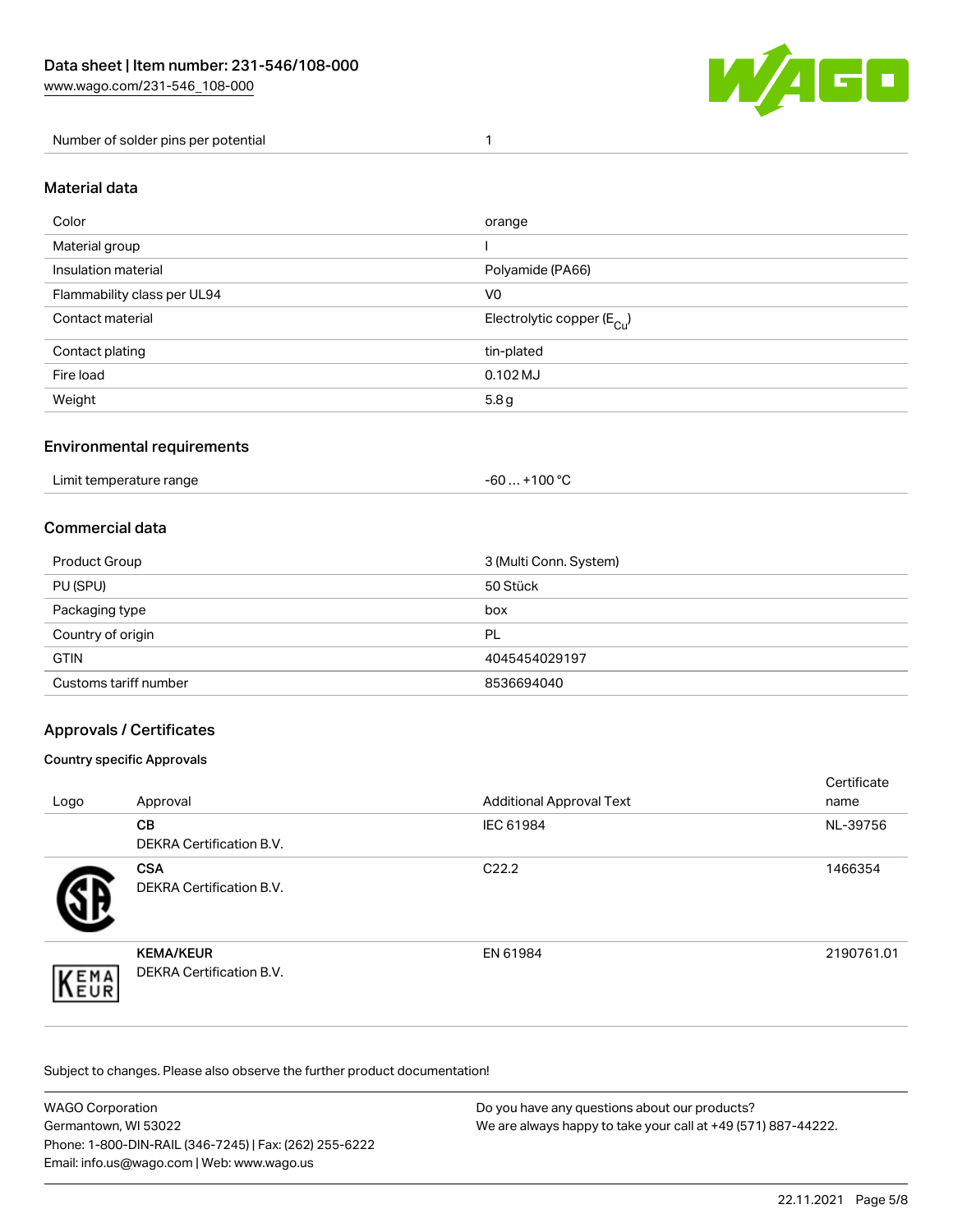

#### Number of solder pins per potential 1

#### Material data

| Color                       | orange                                 |
|-----------------------------|----------------------------------------|
| Material group              |                                        |
| Insulation material         | Polyamide (PA66)                       |
| Flammability class per UL94 | V <sub>0</sub>                         |
| Contact material            | Electrolytic copper (E <sub>Cu</sub> ) |
| Contact plating             | tin-plated                             |
| Fire load                   | $0.102$ MJ                             |
| Weight                      | 5.8g                                   |

## Environmental requirements

Limit temperature range  $-60...+100 °C$ 

## Commercial data

| Product Group         | 3 (Multi Conn. System) |
|-----------------------|------------------------|
| PU (SPU)              | 50 Stück               |
| Packaging type        | box                    |
| Country of origin     | PL                     |
| <b>GTIN</b>           | 4045454029197          |
| Customs tariff number | 8536694040             |

# Approvals / Certificates

#### Country specific Approvals

| Logo                | Approval                                     | <b>Additional Approval Text</b> | Certificate<br>name |
|---------------------|----------------------------------------------|---------------------------------|---------------------|
|                     | <b>CB</b><br><b>DEKRA Certification B.V.</b> | IEC 61984                       | NL-39756            |
|                     | <b>CSA</b><br>DEKRA Certification B.V.       | C <sub>22.2</sub>               | 1466354             |
| EMA<br><b>INEUR</b> | <b>KEMA/KEUR</b><br>DEKRA Certification B.V. | EN 61984                        | 2190761.01          |

Subject to changes. Please also observe the further product documentation!

| <b>WAGO Corporation</b>                                | Do you have any questions about our products?                 |
|--------------------------------------------------------|---------------------------------------------------------------|
| Germantown, WI 53022                                   | We are always happy to take your call at +49 (571) 887-44222. |
| Phone: 1-800-DIN-RAIL (346-7245)   Fax: (262) 255-6222 |                                                               |
| Email: info.us@wago.com   Web: www.wago.us             |                                                               |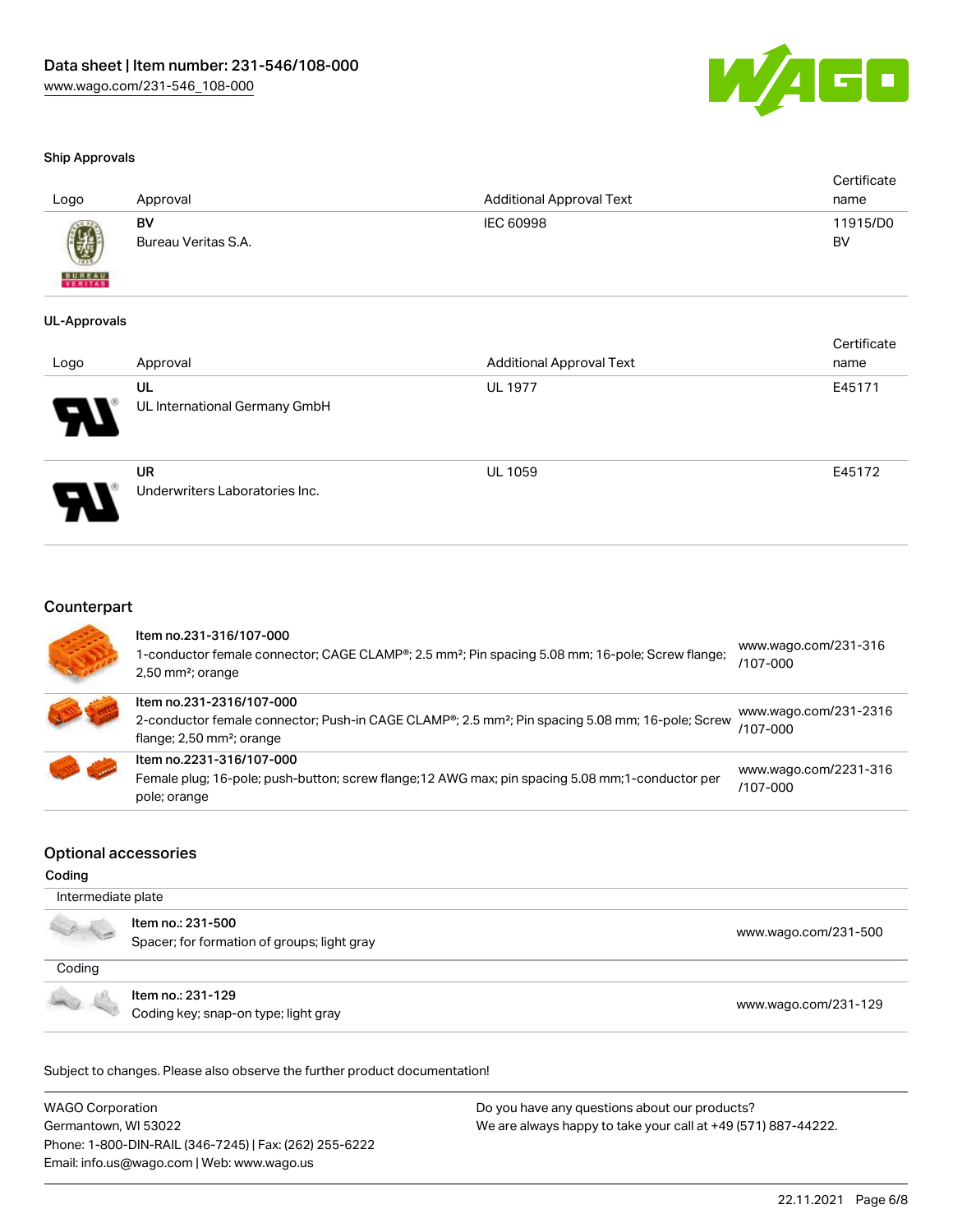

#### Ship Approvals

| Logo                     | Approval                  | Additional Approval Text | Certificate<br>name |
|--------------------------|---------------------------|--------------------------|---------------------|
|                          | BV<br>Bureau Veritas S.A. | IEC 60998                | 11915/D0<br>BV      |
| <b>BUREAU</b><br>VERITAS |                           |                          |                     |

#### UL-Approvals

| Logo                  | Approval                                    | <b>Additional Approval Text</b> | Certificate<br>name |
|-----------------------|---------------------------------------------|---------------------------------|---------------------|
| $\boldsymbol{\theta}$ | UL<br>UL International Germany GmbH         | <b>UL 1977</b>                  | E45171              |
| J                     | <b>UR</b><br>Underwriters Laboratories Inc. | <b>UL 1059</b>                  | E45172              |

## **Counterpart**

| Item no.231-316/107-000<br>1-conductor female connector; CAGE CLAMP®; 2.5 mm <sup>2</sup> ; Pin spacing 5.08 mm; 16-pole; Screw flange;<br>$2,50$ mm <sup>2</sup> ; orange        | www.wago.com/231-316<br>$/107 - 000$ |
|-----------------------------------------------------------------------------------------------------------------------------------------------------------------------------------|--------------------------------------|
| Item no.231-2316/107-000<br>2-conductor female connector; Push-in CAGE CLAMP®; 2.5 mm <sup>2</sup> ; Pin spacing 5.08 mm; 16-pole; Screw<br>flange; 2,50 mm <sup>2</sup> ; orange | www.wago.com/231-2316<br>/107-000    |
| Item no.2231-316/107-000<br>Female plug; 16-pole; push-button; screw flange; 12 AWG max; pin spacing 5.08 mm; 1-conductor per<br>pole; orange                                     | www.wago.com/2231-316<br>/107-000    |

#### Optional accessories

#### Coding

| Intermediate plate |                                                                  |                      |
|--------------------|------------------------------------------------------------------|----------------------|
|                    | Item no.: 231-500<br>Spacer; for formation of groups; light gray | www.wago.com/231-500 |
| Coding             |                                                                  |                      |
|                    | Item no.: 231-129<br>Coding key; snap-on type; light gray        | www.wago.com/231-129 |

Subject to changes. Please also observe the further product documentation!

WAGO Corporation Germantown, WI 53022 Phone: 1-800-DIN-RAIL (346-7245) | Fax: (262) 255-6222 Email: info.us@wago.com | Web: www.wago.us Do you have any questions about our products? We are always happy to take your call at +49 (571) 887-44222.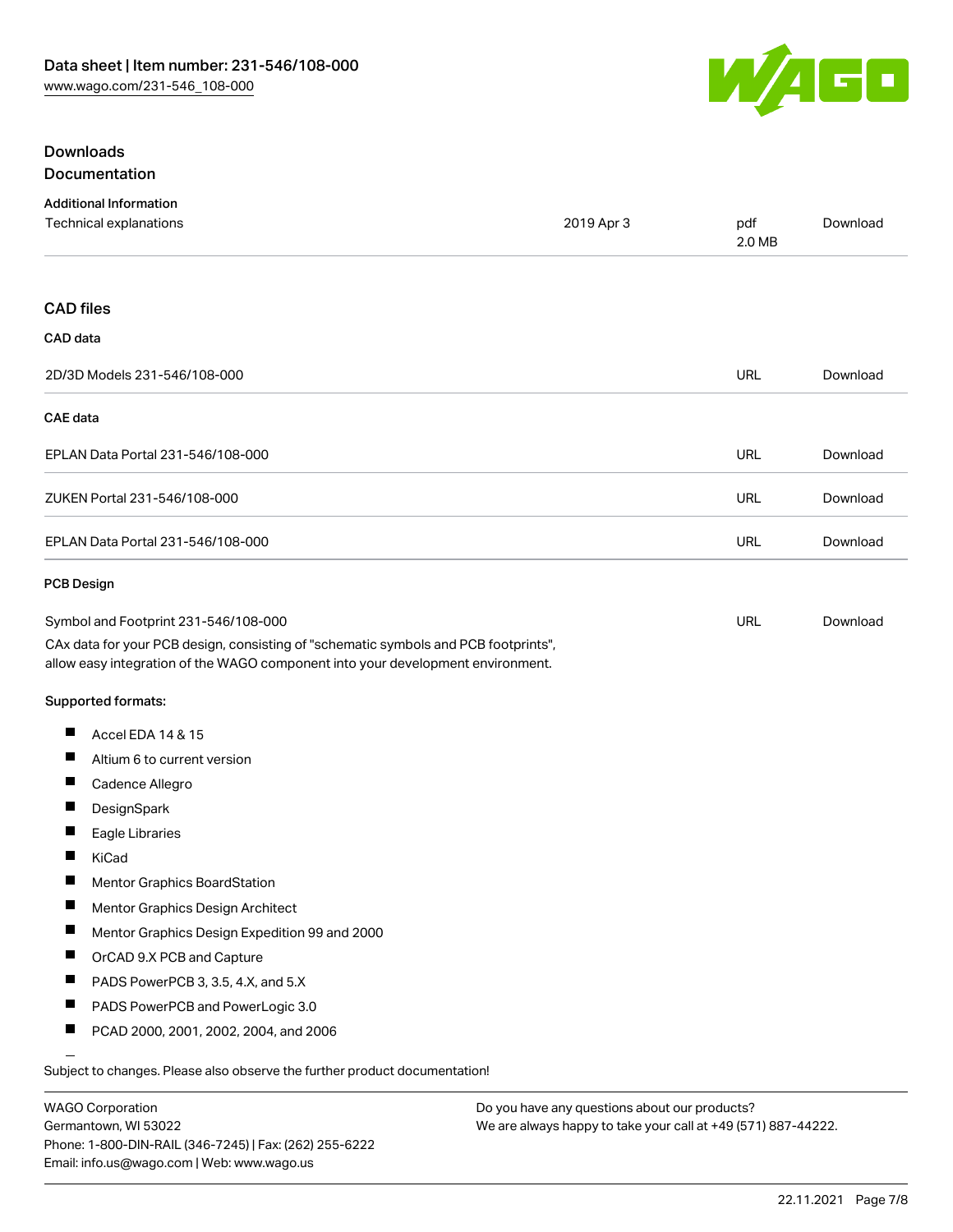

#### Downloads Documentation

|                                                                                                                                                                        | <b>Additional Information</b><br>Technical explanations                    | 2019 Apr 3 | pdf<br>2.0 MB | Download |
|------------------------------------------------------------------------------------------------------------------------------------------------------------------------|----------------------------------------------------------------------------|------------|---------------|----------|
| <b>CAD files</b>                                                                                                                                                       |                                                                            |            |               |          |
| CAD data                                                                                                                                                               |                                                                            |            |               |          |
|                                                                                                                                                                        | 2D/3D Models 231-546/108-000                                               |            | <b>URL</b>    | Download |
| <b>CAE</b> data                                                                                                                                                        |                                                                            |            |               |          |
|                                                                                                                                                                        | EPLAN Data Portal 231-546/108-000                                          |            | URL           | Download |
|                                                                                                                                                                        | ZUKEN Portal 231-546/108-000                                               |            | URL           | Download |
|                                                                                                                                                                        | EPLAN Data Portal 231-546/108-000                                          |            | URL           | Download |
| <b>PCB Design</b>                                                                                                                                                      |                                                                            |            |               |          |
| Symbol and Footprint 231-546/108-000                                                                                                                                   |                                                                            |            | URL           | Download |
| CAx data for your PCB design, consisting of "schematic symbols and PCB footprints",<br>allow easy integration of the WAGO component into your development environment. |                                                                            |            |               |          |
|                                                                                                                                                                        | Supported formats:                                                         |            |               |          |
| ш                                                                                                                                                                      | Accel EDA 14 & 15                                                          |            |               |          |
| ш                                                                                                                                                                      | Altium 6 to current version                                                |            |               |          |
|                                                                                                                                                                        | Cadence Allegro                                                            |            |               |          |
| Ш                                                                                                                                                                      | DesignSpark                                                                |            |               |          |
| $\blacksquare$                                                                                                                                                         | Eagle Libraries                                                            |            |               |          |
|                                                                                                                                                                        | KiCad                                                                      |            |               |          |
|                                                                                                                                                                        | <b>Mentor Graphics BoardStation</b>                                        |            |               |          |
| Ш                                                                                                                                                                      | Mentor Graphics Design Architect                                           |            |               |          |
|                                                                                                                                                                        | Mentor Graphics Design Expedition 99 and 2000                              |            |               |          |
| H                                                                                                                                                                      | OrCAD 9.X PCB and Capture                                                  |            |               |          |
|                                                                                                                                                                        | PADS PowerPCB 3, 3.5, 4.X, and 5.X                                         |            |               |          |
| $\blacksquare$                                                                                                                                                         | PADS PowerPCB and PowerLogic 3.0                                           |            |               |          |
| Ш                                                                                                                                                                      | PCAD 2000, 2001, 2002, 2004, and 2006                                      |            |               |          |
|                                                                                                                                                                        | Subject to changes. Please also observe the further product documentation! |            |               |          |